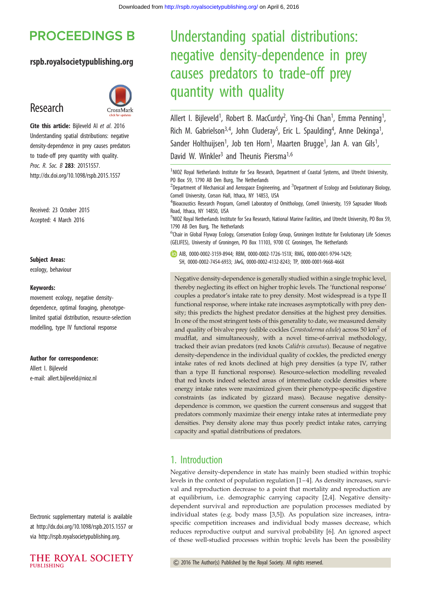## **PROCEEDINGS B**

#### rspb.royalsocietypublishing.org

## Research



Cite this article: Bijleveld Al et al. 2016 Understanding spatial distributions: negative density-dependence in prey causes predators to trade-off prey quantity with quality. Proc. R. Soc. B 283: 20151557. http://dx.doi.org/10.1098/rspb.2015.1557

Received: 23 October 2015 Accepted: 4 March 2016

#### Subject Areas:

ecology, behaviour

#### Keywords:

movement ecology, negative densitydependence, optimal foraging, phenotypelimited spatial distribution, resource-selection modelling, type IV functional response

Author for correspondence: Allert I. Bijleveld e-mail: [allert.bijleveld@nioz.nl](mailto:allert.bijleveld@nioz.nl)

Electronic supplementary material is available at<http://dx.doi.org/10.1098/rspb.2015.1557> or via<http://rspb.royalsocietypublishing.org>.



# Understanding spatial distributions: negative density-dependence in prey causes predators to trade-off prey quantity with quality

Allert I. Bijleveld<sup>1</sup>, Robert B. MacCurdy<sup>2</sup>, Ying-Chi Chan<sup>1</sup>, Emma Penning<sup>1</sup> , Rich M. Gabrielson<sup>3,4</sup>, John Cluderay<sup>5</sup>, Eric L. Spaulding<sup>4</sup>, Anne Dekinga<sup>1</sup> , Sander Holthuijsen<sup>1</sup>, Job ten Horn<sup>1</sup>, Maarten Brugge<sup>1</sup>, Jan A. van Gils<sup>1</sup> , David W. Winkler<sup>3</sup> and Theunis Piersma<sup>1,6</sup>

<sup>1</sup>NIOZ Royal Netherlands Institute for Sea Research, Department of Coastal Systems, and Utrecht University, PO Box 59, 1790 AB Den Burg, The Netherlands

 $^{2}$ Department of Mechanical and Aerospace Engineering, and  $^{3}$ Department of Ecology and Evolutionary Biology, Cornell University, Corson Hall, Ithaca, NY 14853, USA

<sup>4</sup> Bioacoustics Research Program, Cornell Laboratory of Ornithology, Cornell University, 159 Sapsucker Woods Road, Ithaca, NY 14850, USA

5 NIOZ Royal Netherlands Institute for Sea Research, National Marine Facilities, and Utrecht University, PO Box 59, 1790 AB Den Burg, The Netherlands

<sup>6</sup>Chair in Global Flyway Ecology, Conservation Ecology Group, Groningen Institute for Evolutionary Life Sciences (GELIFES), University of Groningen, PO Box 11103, 9700 CC Groningen, The Netherlands

AIB, [0000-0002-3159-8944;](http://orcid.org/0000-0002-3159-8944) RBM, [0000-0002-1726-151X](http://orcid.org/0000-0002-1726-151X); RMG, [0000-0001-9794-1429;](http://orcid.org/0000-0001-9794-1429) SH, [0000-0002-7454-6933;](http://orcid.org/0000-0002-7454-6933) JAvG, [0000-0002-4132-8243](http://orcid.org/0000-0002-4132-8243); TP, [0000-0001-9668-466X](http://orcid.org/0000-0001-9668-466X)

Negative density-dependence is generally studied within a single trophic level, thereby neglecting its effect on higher trophic levels. The 'functional response' couples a predator's intake rate to prey density. Most widespread is a type II functional response, where intake rate increases asymptotically with prey density; this predicts the highest predator densities at the highest prey densities. In one of the most stringent tests of this generality to date, we measured density and quality of bivalve prey (edible cockles Cerastoderma edule) across 50  $\text{km}^2$  of mudflat, and simultaneously, with a novel time-of-arrival methodology, tracked their avian predators (red knots Calidris canutus). Because of negative density-dependence in the individual quality of cockles, the predicted energy intake rates of red knots declined at high prey densities (a type IV, rather than a type II functional response). Resource-selection modelling revealed that red knots indeed selected areas of intermediate cockle densities where energy intake rates were maximized given their phenotype-specific digestive constraints (as indicated by gizzard mass). Because negative densitydependence is common, we question the current consensus and suggest that predators commonly maximize their energy intake rates at intermediate prey densities. Prey density alone may thus poorly predict intake rates, carrying capacity and spatial distributions of predators.

#### 1. Introduction

Negative density-dependence in state has mainly been studied within trophic levels in the context of population regulation [\[1](#page-7-0)–[4\]](#page-7-0). As density increases, survival and reproduction decrease to a point that mortality and reproduction are at equilibrium, i.e. demographic carrying capacity [[2](#page-7-0),[4](#page-7-0)]. Negative densitydependent survival and reproduction are population processes mediated by individual states (e.g. body mass [\[3,5\]](#page-7-0)). As population size increases, intraspecific competition increases and individual body masses decrease, which reduces reproductive output and survival probability [\[6\]](#page-7-0). An ignored aspect of these well-studied processes within trophic levels has been the possibility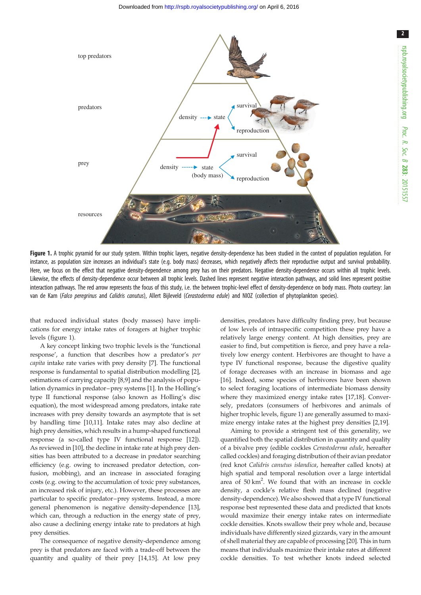

Figure 1. A trophic pyramid for our study system. Within trophic layers, negative density-dependence has been studied in the context of population regulation. For instance, as population size increases an individual's state (e.g. body mass) decreases, which negatively affects their reproductive output and survival probability. Here, we focus on the effect that negative density-dependence among prey has on their predators. Negative density-dependence occurs within all trophic levels. Likewise, the effects of density-dependence occur between all trophic levels. Dashed lines represent negative interaction pathways, and solid lines represent positive interaction pathways. The red arrow represents the focus of this study, i.e. the between trophic-level effect of density-dependence on body mass. Photo courtesy: Jan van de Kam (Falco peregrinus and Calidris canutus), Allert Bijleveld (Cerastoderma edule) and NIOZ (collection of phytoplankton species).

that reduced individual states (body masses) have implications for energy intake rates of foragers at higher trophic levels (figure 1).

A key concept linking two trophic levels is the 'functional response', a function that describes how a predator's per capita intake rate varies with prey density [[7](#page-7-0)]. The functional response is fundamental to spatial distribution modelling [[2](#page-7-0)], estimations of carrying capacity [[8](#page-7-0),[9](#page-7-0)] and the analysis of population dynamics in predator–prey systems [\[1\]](#page-7-0). In the Holling's type II functional response (also known as Holling's disc equation), the most widespread among predators, intake rate increases with prey density towards an asymptote that is set by handling time [\[10,11](#page-7-0)]. Intake rates may also decline at high prey densities, which results in a hump-shaped functional response (a so-called type IV functional response [[12](#page-7-0)]). As reviewed in [\[10](#page-7-0)], the decline in intake rate at high prey densities has been attributed to a decrease in predator searching efficiency (e.g. owing to increased predator detection, confusion, mobbing), and an increase in associated foraging costs (e.g. owing to the accumulation of toxic prey substances, an increased risk of injury, etc.). However, these processes are particular to specific predator–prey systems. Instead, a more general phenomenon is negative density-dependence [\[13](#page-7-0)], which can, through a reduction in the energy state of prey. also cause a declining energy intake rate to predators at high prey densities.

The consequence of negative density-dependence among prey is that predators are faced with a trade-off between the quantity and quality of their prey [[14,15](#page-7-0)]. At low prey densities, predators have difficulty finding prey, but because of low levels of intraspecific competition these prey have a relatively large energy content. At high densities, prey are easier to find, but competition is fierce, and prey have a relatively low energy content. Herbivores are thought to have a type IV functional response, because the digestive quality of forage decreases with an increase in biomass and age [[16\]](#page-7-0). Indeed, some species of herbivores have been shown to select foraging locations of intermediate biomass density where they maximized energy intake rates [[17,18](#page-7-0)]. Conversely, predators (consumers of herbivores and animals of higher trophic levels, figure 1) are generally assumed to maximize energy intake rates at the highest prey densities [\[2,19](#page-7-0)].

Aiming to provide a stringent test of this generality, we quantified both the spatial distribution in quantity and quality of a bivalve prey (edible cockles Cerastoderma edule, hereafter called cockles) and foraging distribution of their avian predator (red knot Calidris canutus islandica, hereafter called knots) at high spatial and temporal resolution over a large intertidal area of 50 km<sup>2</sup>. We found that with an increase in cockle density, a cockle's relative flesh mass declined (negative density-dependence). We also showed that a type IV functional response best represented these data and predicted that knots would maximize their energy intake rates on intermediate cockle densities. Knots swallow their prey whole and, because individuals have differently sized gizzards, vary in the amount of shell material they are capable of processing [[20\]](#page-7-0). This in turn means that individuals maximize their intake rates at different cockle densities. To test whether knots indeed selected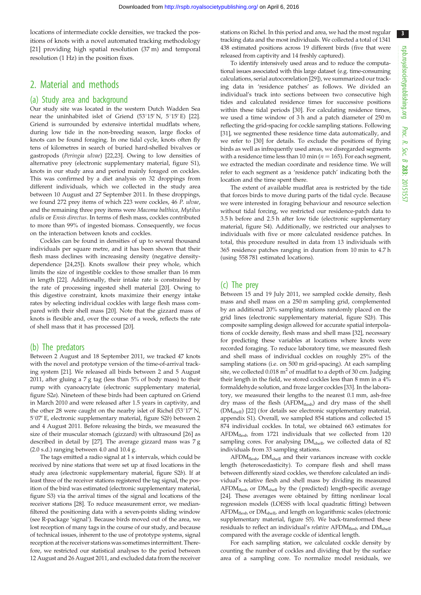locations of intermediate cockle densities, we tracked the positions of knots with a novel automated tracking methodology [\[21](#page-7-0)] providing high spatial resolution (37 m) and temporal resolution (1 Hz) in the position fixes.

## 2. Material and methods

#### (a) Study area and background

Our study site was located in the western Dutch Wadden Sea near the uninhabited islet of Griend  $(53^{\circ}15^{\prime} N, 5^{\circ}15^{\prime} E)$  [\[22\]](#page-8-0). Griend is surrounded by extensive intertidal mudflats where, during low tide in the non-breeding season, large flocks of knots can be found foraging. In one tidal cycle, knots often fly tens of kilometres in search of buried hard-shelled bivalves or gastropods (Peringia ulvae) [\[22,23\]](#page-8-0). Owing to low densities of alternative prey (electronic supplementary material, figure S1), knots in our study area and period mainly foraged on cockles. This was confirmed by a diet analysis on 32 droppings from different individuals, which we collected in the study area between 10 August and 27 September 2011. In these droppings, we found 272 prey items of which 223 were cockles, 46 P. ulvae, and the remaining three prey items were Macoma balthica, Mytilus edulis or Ensis directus. In terms of flesh mass, cockles contributed to more than 99% of ingested biomass. Consequently, we focus on the interaction between knots and cockles.

Cockles can be found in densities of up to several thousand individuals per square metre, and it has been shown that their flesh mass declines with increasing density (negative densitydependence [[24,25\]](#page-8-0)). Knots swallow their prey whole, which limits the size of ingestible cockles to those smaller than 16 mm in length [\[22\]](#page-8-0). Additionally, their intake rate is constrained by the rate of processing ingested shell material [\[20\]](#page-7-0). Owing to this digestive constraint, knots maximize their energy intake rates by selecting individual cockles with large flesh mass compared with their shell mass [[20](#page-7-0)]. Note that the gizzard mass of knots is flexible and, over the course of a week, reflects the rate of shell mass that it has processed [\[20\]](#page-7-0).

#### (b) The predators

Between 2 August and 18 September 2011, we tracked 47 knots with the novel and prototype version of the time-of-arrival tracking system [\[21](#page-7-0)]. We released all birds between 2 and 5 August 2011, after gluing a 7 g tag (less than 5% of body mass) to their rump with cyanoacrylate (electronic supplementary material, figure S2a). Nineteen of these birds had been captured on Griend in March 2010 and were released after 1.5 years in captivity, and the other 28 were caught on the nearby islet of Richel  $(53°17' N,$  $5^{\circ}07'$  E, electronic supplementary material, figure S2b) between 2 and 4 August 2011. Before releasing the birds, we measured the size of their muscular stomach (gizzard) with ultrasound [[26](#page-8-0)] as described in detail by [\[27](#page-8-0)]. The average gizzard mass was 7 g (2.0 s.d.) ranging between 4.0 and 10.4 g.

The tags emitted a radio signal at 1 s intervals, which could be received by nine stations that were set up at fixed locations in the study area (electronic supplementary material, figure S2b). If at least three of the receiver stations registered the tag signal, the position of the bird was estimated (electronic supplementary material, figure S3) via the arrival times of the signal and locations of the receiver stations [\[28\]](#page-8-0). To reduce measurement error, we medianfiltered the positioning data with a seven-points sliding window (see R-package 'signal'). Because birds moved out of the area, we lost reception of many tags in the course of our study, and because of technical issues, inherent to the use of prototype systems, signal reception at the receiver stations was sometimes intermittent. Therefore, we restricted our statistical analyses to the period between 12 August and 26 August 2011, and excluded data from the receiver

stations on Richel. In this period and area, we had the most regular tracking data and the most individuals. We collected a total of 1341 438 estimated positions across 19 different birds (five that were released from captivity and 14 freshly captured).

To identify intensively used areas and to reduce the computational issues associated with this large dataset (e.g. time-consuming calculations, serial autocorrelation [[29](#page-8-0)]), we summarized our tracking data in 'residence patches' as follows. We divided an individual's track into sections between two consecutive high tides and calculated residence times for successive positions within these tidal periods [[30](#page-8-0)]. For calculating residence times, we used a time window of 3 h and a patch diameter of 250 m reflecting the grid-spacing for cockle sampling stations. Following [[31](#page-8-0)], we segmented these residence time data automatically, and we refer to [[30](#page-8-0)] for details. To exclude the positions of flying birds as well as infrequently used areas, we disregarded segments with a residence time less than 10 min ( $n = 165$ ). For each segment, we extracted the median coordinate and residence time. We will refer to each segment as a 'residence patch' indicating both the location and the time spent there.

The extent of available mudflat area is restricted by the tide that forces birds to move during parts of the tidal cycle. Because we were interested in foraging behaviour and resource selection without tidal forcing, we restricted our residence-patch data to 3.5 h before and 2.5 h after low tide (electronic supplementary material, figure S4). Additionally, we restricted our analyses to individuals with five or more calculated residence patches. In total, this procedure resulted in data from 13 individuals with 365 residence patches ranging in duration from 10 min to 4.7 h (using 558 781 estimated locations).

#### (c) The prey

Between 15 and 19 July 2011, we sampled cockle density, flesh mass and shell mass on a 250 m sampling grid, complemented by an additional 20% sampling stations randomly placed on the grid lines (electronic supplementary material, figure S2b). This composite sampling design allowed for accurate spatial interpolations of cockle density, flesh mass and shell mass [\[32\]](#page-8-0), necessary for predicting these variables at locations where knots were recorded foraging. To reduce laboratory time, we measured flesh and shell mass of individual cockles on roughly 25% of the sampling stations (i.e. on 500 m grid-spacing). At each sampling site, we collected  $0.018 \text{ m}^2$  of mudflat to a depth of 30 cm. Judging their length in the field, we stored cockles less than 8 mm in a 4% formaldehyde solution, and froze larger cockles [\[33\]](#page-8-0). In the laboratory, we measured their lengths to the nearest 0.1 mm, ash-free dry mass of the flesh (AFDM<sub>flesh</sub>) and dry mass of the shell (DMshell) [[22](#page-8-0)] (for details see electronic supplementary material, appendix S1). Overall, we sampled 854 stations and collected 15 874 individual cockles. In total, we obtained 663 estimates for AFDMflesh from 1721 individuals that we collected from 120 sampling cores. For analysing DM<sub>shell</sub>, we collected data of 82 individuals from 33 sampling stations.

AFDM<sub>flesh</sub>, DM<sub>shell</sub> and their variances increase with cockle length (heteroscedasticity). To compare flesh and shell mass between differently sized cockles, we therefore calculated an individual's relative flesh and shell mass by dividing its measured  $AFDM<sub>flex</sub>$  or  $DM<sub>shell</sub>$  by the (predicted) length-specific average [[24](#page-8-0)]. These averages were obtained by fitting nonlinear local regression models (LOESS with local quadratic fitting) between AFDM<sub>flesh</sub> or DM<sub>shell</sub>, and length on logarithmic scales (electronic supplementary material, figure S5). We back-transformed these residuals to reflect an individual's *relative* AFD $M_{\text{flesh}}$  and  $DM_{\text{shell}}$ compared with the average cockle of identical length.

For each sampling station, we calculated cockle density by counting the number of cockles and dividing that by the surface area of a sampling core. To normalize model residuals, we 3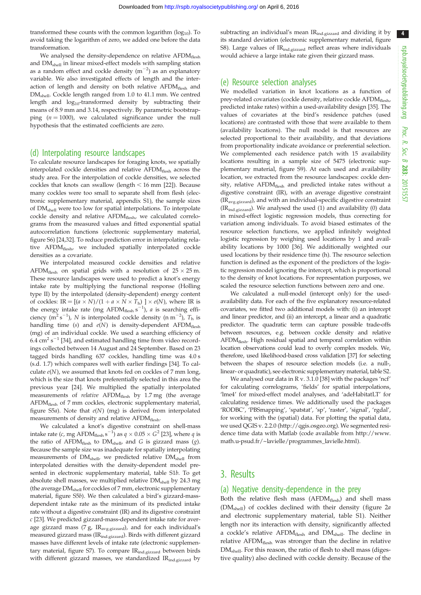rspb.royalsocietypublishing.org Proc. R. Soc. $\sigma$ 283: 20151557 4

transformed these counts with the common logarithm ( $log_{10}$ ). To avoid taking the logarithm of zero, we added one before the data transformation.

We analysed the density-dependence on relative AFDM<sub>flesh</sub> and DMshell in linear mixed-effect models with sampling station as a random effect and cockle density  $(m^{-2})$  as an explanatory variable. We also investigated effects of length and the interaction of length and density on both relative AFDMflesh and DM<sub>shell</sub>. Cockle length ranged from 1.0 to 41.1 mm. We centred length and log10-transformed density by subtracting their means of 8.9 mm and 3.14, respectively. By parametric bootstrapping  $(n = 1000)$ , we calculated significance under the null hypothesis that the estimated coefficients are zero.

#### (d) Interpolating resource landscapes

To calculate resource landscapes for foraging knots, we spatially interpolated cockle densities and relative  $AFDM<sub>flex</sub>$  across the study area. For the interpolation of cockle densities, we selected cockles that knots can swallow (length  $<$  16 mm [\[22\]](#page-8-0)). Because many cockles were too small to separate shell from flesh (electronic supplementary material, appendix S1), the sample sizes of DMshell were too low for spatial interpolations. To interpolate cockle density and relative AFDM<sub>flesh</sub>, we calculated correlograms from the measured values and fitted exponential spatial autocorrelation functions (electronic supplementary material, figure S6) [[24,32\]](#page-8-0). To reduce prediction error in interpolating relative AFDM<sub>flesh</sub>, we included spatially interpolated cockle densities as a covariate.

We interpolated measured cockle densities and relative  $\rm AFDM_{\rm{flexh}}$  on spatial grids with a resolution of  $25 \times 25$  m. These resource landscapes were used to predict a knot's energy intake rate by multiplying the functional response (Holling type II) by the interpolated (density-dependent) energy content of cockles: IR =  $[(a \times N)/(1 + a \times N \times T_h)] \times e(N)$ , where IR is the energy intake rate (mg AFDM<sub>flesh</sub>  $s^{-1}$ ), *a* is searching efficiency (m<sup>2</sup> s<sup>-1</sup>), N is interpolated cockle density (n m<sup>-2</sup>), T<sub>h</sub> is handling time (s) and  $e(N)$  is density-dependent AFDM<sub>flesh</sub> (mg) of an individual cockle. We used a searching efficiency of 6.4  $\text{cm}^2 \text{ s}^{-1}$  [[34](#page-8-0)], and estimated handling time from video recordings collected between 14 August and 24 September. Based on 23 tagged birds handling 637 cockles, handling time was 4.0 s (s.d. 1.7) which compares well with earlier findings [[34](#page-8-0)]. To calculate  $e(N)$ , we assumed that knots fed on cockles of 7 mm long, which is the size that knots preferentially selected in this area the previous year [\[24\]](#page-8-0). We multiplied the spatially interpolated measurements of relative AFDM<sub>flesh</sub> by 1.7 mg (the average AFDM<sub>flesh</sub> of 7 mm cockles, electronic supplementary material, figure S5a). Note that  $e(N)$  (mg) is derived from interpolated measurements of density and relative AFDM<sub>flesh</sub>.

We calculated a knot's digestive constraint on shell-mass intake rate ( $c$ , mg AFD $M_{\rm{flexh}}\,{\rm s}^{-1})$  as  $q\times0.05\times G^2$  [[23](#page-8-0)], where  $q$  is the ratio of AFDM $_{\text{flesh}}$  to DM $_{\text{shell}}$ , and G is gizzard mass (g). Because the sample size was inadequate for spatially interpolating measurements of DM<sub>shell</sub>, we predicted relative DM<sub>shell</sub> from interpolated densities with the density-dependent model presented in electronic supplementary material, table S1b. To get absolute shell masses, we multiplied relative DM<sub>shell</sub> by 24.3 mg (the average  $DM<sub>shell</sub>$  for cockles of 7 mm, electronic supplementary material, figure S5b). We then calculated a bird's gizzard-massdependent intake rate as the minimum of its predicted intake rate without a digestive constraint (IR) and its digestive constraint c [[23](#page-8-0)]. We predicted gizzard-mass-dependent intake rate for average gizzard mass (7 g,  $IR_{avg.gizzard}$ ), and for each individual's measured gizzard mass (IRind.gizzard). Birds with different gizzard masses have different levels of intake rate (electronic supplementary material, figure S7). To compare IR<sub>ind.gizzard</sub> between birds with different gizzard masses, we standardized  $IR_{ind.gizzard}$  by

subtracting an individual's mean IR<sub>ind.gizzard</sub> and dividing it by its standard deviation (electronic supplementary material, figure S8). Large values of IR<sub>ind.gizzard</sub> reflect areas where individuals would achieve a large intake rate given their gizzard mass.

#### (e) Resource selection analyses

We modelled variation in knot locations as a function of prey-related covariates (cockle density, relative cockle AFDM<sub>flesh</sub>, predicted intake rates) within a used-availability design [\[35\]](#page-8-0). The values of covariates at the bird's residence patches (used locations) are contrasted with those that were available to them (availability locations). The null model is that resources are selected proportional to their availability, and that deviations from proportionality indicate avoidance or preferential selection. We complemented each residence patch with 15 availability locations resulting in a sample size of 5475 (electronic supplementary material, figure S9). At each used and availability location, we extracted from the resource landscapes: cockle density, relative AFDM<sub>flesh</sub> and predicted intake rates without a digestive constraint (IR), with an average digestive constraint (IRavg.gizzard), and with an individual-specific digestive constraint  $(IR<sub>ind</sub>$ <sub>gizzard</sub>). We analysed the used (1) and availability (0) data in mixed-effect logistic regression models, thus correcting for variation among individuals. To avoid biased estimates of the resource selection functions, we applied infinitely weighted logistic regression by weighing used locations by 1 and availability locations by 1000 [[36](#page-8-0)]. We additionally weighted our used locations by their residence time (h). The resource selection function is defined as the exponent of the predictors of the logistic regression model ignoring the intercept, which is proportional to the density of knot locations. For representation purposes, we scaled the resource selection functions between zero and one.

We calculated a null-model (intercept only) for the usedavailability data. For each of the five explanatory resource-related covariates, we fitted two additional models with: (i) an intercept and linear predictor, and (ii) an intercept, a linear and a quadratic predictor. The quadratic term can capture possible trade-offs between resources, e.g. between cockle density and relative AFDM<sub>flesh</sub>. High residual spatial and temporal correlation within location observations could lead to overly complex models. We, therefore, used likelihood-based cross validation [\[37\]](#page-8-0) for selecting between the shapes of resource selection models (i.e. a null-, linear- or quadratic), see electronic supplementary material, table S2.

We analysed our data in R v. 3.1.0 [\[38](#page-8-0)] with the packages 'ncf' for calculating correlograms, 'fields' for spatial interpolations, 'lme4' for mixed-effect model analyses, and 'adeHabitatLT' for calculating residence times. We additionally used the packages 'RODBC', 'PBSmapping', 'spatstat', 'sp', 'raster', 'signal', 'rgdal', for working with the (spatial) data. For plotting the spatial data, we used QGIS v. 2.2.0 [\(http://qgis.osgeo.org](http://qgis.osgeo.org)). We segmented residence time data with Matlab (code available from [http://www.](http://www.math.u-psud.fr/~lavielle/programmes_lavielle.html) [math.u-psud.fr/~lavielle/programmes\\_lavielle.html](http://www.math.u-psud.fr/~lavielle/programmes_lavielle.html)).

### 3. Results

#### (a) Negative density-dependence in the prey

Both the relative flesh mass  $(AFDM_{flesh})$  and shell mass (DM<sub>shell</sub>) of cockles declined with their density ([figure 2](#page-4-0)a and electronic supplementary material, table S1). Neither length nor its interaction with density, significantly affected a cockle's relative AFDM<sub>flesh</sub> and DM<sub>shell</sub>. The decline in relative AFDM<sub>flesh</sub> was stronger than the decline in relative DM<sub>shell</sub>. For this reason, the ratio of flesh to shell mass (digestive quality) also declined with cockle density. Because of the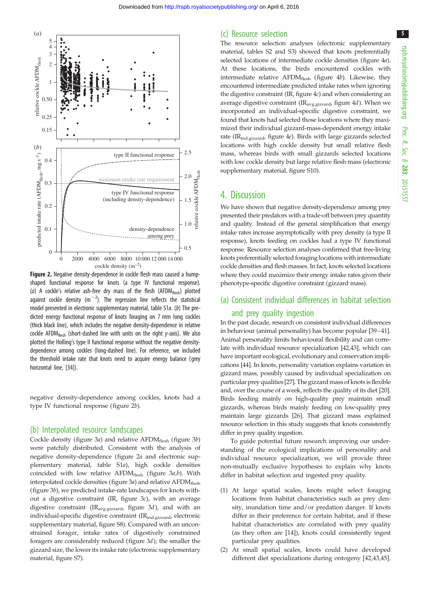<span id="page-4-0"></span>

Figure 2. Negative density-dependence in cockle flesh mass caused a humpshaped functional response for knots (a type IV functional response). (a) A cockle's relative ash-free dry mass of the flesh (AFDM $_{\text{flex}}$ ) plotted against cockle density  $(m^{-2})$ . The regression line reflects the statistical model presented in electronic supplementary material, table S1a. (b) The predicted energy functional response of knots foraging on 7 mm long cockles (thick black line), which includes the negative density-dependence in relative cockle AFDM<sub>flesh</sub> (short-dashed line with units on the right y-axis). We also plotted the Holling's type II functional response without the negative densitydependence among cockles (long-dashed line). For reference, we included the threshold intake rate that knots need to acquire energy balance (grey horizontal line, [\[34\]](#page-8-0)).

negative density-dependence among cockles, knots had a type IV functional response (figure 2b).

#### (b) Interpolated resource landscapes

Cockle density ([figure 3](#page-5-0)a) and relative AFD $M_{\text{flesh}}$  [\(figure 3](#page-5-0)b) were patchily distributed. Consistent with the analysis of negative density-dependence (figure 2a and electronic supplementary material, table S1a), high cockle densities coincided with low relative AFD $M_{\text{flex}}$  ([figure 3](#page-5-0)a,b). With interpolated cockle densities (figure  $3a$ ) and relative AFDM $_{\rm{flesh}}$ [\(figure 3](#page-5-0)b), we predicted intake-rate landscapes for knots without a digestive constraint (IR, [figure 3](#page-5-0)c), with an average digestive constraint (IR<sub>avg.gizzard</sub>, [figure 3](#page-5-0)d), and with an individual-specific digestive constraint (IR<sub>ind.gizzard</sub>, electronic supplementary material, figure S8). Compared with an unconstrained forager, intake rates of digestively constrained foragers are considerably reduced [\(figure 3](#page-5-0)d); the smaller the gizzard size, the lower its intake rate (electronic supplementary material, figure S7).

#### (c) Resource selection

The resource selection analyses (electronic supplementary material, tables S2 and S3) showed that knots preferentially selected locations of intermediate cockle densities ([figure 4](#page-6-0)a). At these locations, the birds encountered cockles with intermediate relative  $AFDM<sub>flex</sub>$  [\(figure 4](#page-6-0)b). Likewise, they encountered intermediate predicted intake rates when ignoring the digestive constraint (IR, [figure 4](#page-6-0)c) and when considering an average digestive constraint ( $IR_{avg, gizzard}$ , [figure 4](#page-6-0)d). When we incorporated an individual-specific digestive constraint, we found that knots had selected those locations where they maximized their individual gizzard-mass-dependent energy intake rate (IR<sub>ind.gizzard</sub>, [figure 4](#page-6-0)e). Birds with large gizzards selected locations with high cockle density but small relative flesh mass, whereas birds with small gizzards selected locations with low cockle density but large relative flesh mass (electronic supplementary material, figure S10).

#### 4. Discussion

We have shown that negative density-dependence among prey presented their predators with a trade-off between prey quantity and quality. Instead of the general simplification that energy intake rates increase asymptotically with prey density (a type II response), knots feeding on cockles had a type IV functional response. Resource selection analyses confirmed that free-living knots preferentially selected foraging locations with intermediate cockle densities and flesh masses. In fact, knots selected locations where they could maximize their energy intake rates given their phenotype-specific digestive constraint (gizzard mass).

## (a) Consistent individual differences in habitat selection and prey quality ingestion

In the past decade, research on consistent individual differences in behaviour (animal personality) has become popular [\[39](#page-8-0)–[41\]](#page-8-0). Animal personality limits behavioural flexibility and can correlate with individual resource specialization [\[42,43](#page-8-0)], which can have important ecological, evolutionary and conservation implications [\[44\]](#page-8-0). In knots, personality variation explains variation in gizzard mass, possibly caused by individual specialization on particular prey qualities [\[27\]](#page-8-0). The gizzard mass of knots is flexible and, over the course of a week, reflects the quality of its diet [\[20\]](#page-7-0). Birds feeding mainly on high-quality prey maintain small gizzards, whereas birds mainly feeding on low-quality prey maintain large gizzards [[26](#page-8-0)]. That gizzard mass explained resource selection in this study suggests that knots consistently differ in prey quality ingestion.

To guide potential future research improving our understanding of the ecological implications of personality and individual resource specialization, we will provide three non-mutually exclusive hypotheses to explain why knots differ in habitat selection and ingested prey quality.

- (1) At large spatial scales, knots might select foraging locations from habitat characteristics such as prey density, inundation time and/or predation danger. If knots differ in their preference for certain habitat, and if these habitat characteristics are correlated with prey quality (as they often are [[14\]](#page-7-0)), knots could consistently ingest particular prey qualities.
- (2) At small spatial scales, knots could have developed different diet specializations during ontogeny [\[42,43](#page-8-0),[45\]](#page-8-0).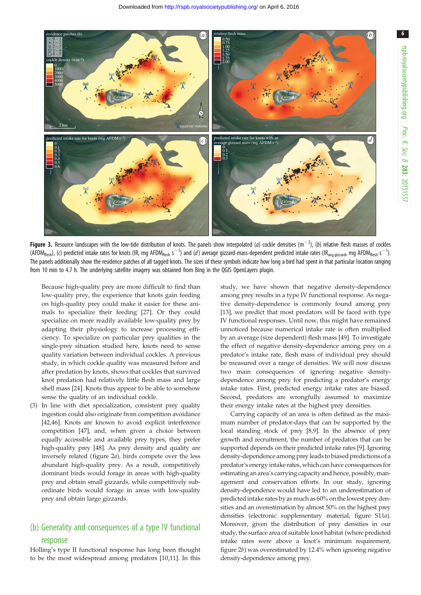<span id="page-5-0"></span>

Figure 3. Resource landscapes with the low-tide distribution of knots. The panels show interpolated (a) cockle densities  $(m^{-2})$ , (b) relative flesh masses of cockles (AFDM<sub>flesh</sub>), (c) predicted intake rates for knots (IR, mg AFDM<sub>flesh</sub> s<sup>-1</sup>) and (d) average gizzard-mass-dependent predicted intake rates (IR<sub>avg.gizzard</sub>, mg AFDM<sub>flesh</sub> s<sup>-1</sup>). The panels additionally show the residence patches of all tagged knots. The sizes of these symbols indicate how long a bird had spent in that particular location ranging from 10 min to 4.7 h. The underlying satellite imagery was obtained from Bing in the QGIS OpenLayers plugin.

Because high-quality prey are more difficult to find than low-quality prey, the experience that knots gain feeding on high-quality prey could make it easier for these animals to specialize their feeding [\[27](#page-8-0)]. Or they could specialize on more readily available low-quality prey by adapting their physiology to increase processing efficiency. To specialize on particular prey qualities in the single-prey situation studied here, knots need to sense quality variation between individual cockles. A previous study, in which cockle quality was measured before and after predation by knots, shows that cockles that survived knot predation had relatively little flesh mass and large shell mass [\[24](#page-8-0)]. Knots thus appear to be able to somehow sense the quality of an individual cockle.

(3) In line with diet specialization, consistent prey quality ingestion could also originate from competition avoidance [[42,46\]](#page-8-0). Knots are known to avoid explicit interference competition [[47\]](#page-8-0), and, when given a choice between equally accessible and available prey types, they prefer high-quality prey [\[48\]](#page-8-0). As prey density and quality are inversely related [\(figure 2](#page-4-0)a), birds compete over the less abundant high-quality prey. As a result, competitively dominant birds would forage in areas with high-quality prey and obtain small gizzards, while competitively subordinate birds would forage in areas with low-quality prey and obtain large gizzards.

## (b) Generality and consequences of a type IV functional response

Holling's type II functional response has long been thought to be the most widespread among predators [[10,11](#page-7-0)]. In this study, we have shown that negative density-dependence among prey results in a type IV functional response. As negative density-dependence is commonly found among prey [[13\]](#page-7-0), we predict that most predators will be faced with type IV functional responses. Until now, this might have remained unnoticed because numerical intake rate is often multiplied by an average (size dependent) flesh mass [[49\]](#page-8-0). To investigate the effect of negative density-dependence among prey on a predator's intake rate, flesh mass of individual prey should be measured over a range of densities. We will now discuss two main consequences of ignoring negative densitydependence among prey for predicting a predator's energy intake rates. First, predicted energy intake rates are biased. Second, predators are wrongfully assumed to maximize their energy intake rates at the highest prey densities.

Carrying capacity of an area is often defined as the maximum number of predator-days that can be supported by the local standing stock of prey [\[8,9](#page-7-0)]. In the absence of prey growth and recruitment, the number of predators that can be supported depends on their predicted intake rates [[9](#page-7-0)]. Ignoring density-dependence among prey leads to biased predictions of a predator's energy intake rates, which can have consequences for estimating an area's carrying capacity and hence, possibly, management and conservation efforts. In our study, ignoring density-dependence would have led to an underestimation of predicted intake rates by as much as 60% on the lowest prey densities and an overestimation by almost 50% on the highest prey densities (electronic supplementary material, figure S11a). Moreover, given the distribution of prey densities in our study, the surface area of suitable knot habitat (where predicted intake rates were above a knot's minimum requirement, [figure 2](#page-4-0)b) was overestimated by 12.4% when ignoring negative density-dependence among prey.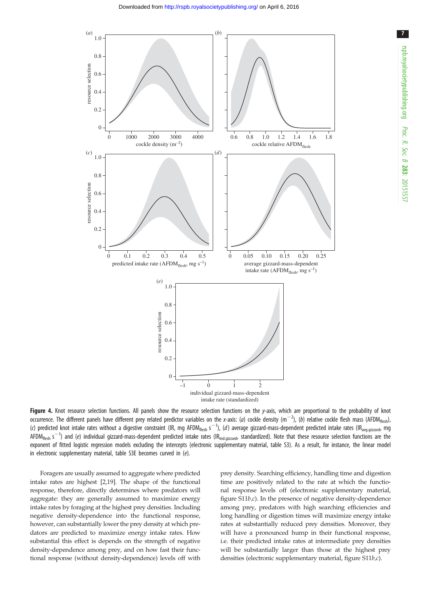<span id="page-6-0"></span>

7

Figure 4. Knot resource selection functions. All panels show the resource selection functions on the  $y$ -axis, which are proportional to the probability of knot occurrence. The different panels have different prey related predictor variables on the x-axis: (a) cockle density (m<sup>-2</sup>), (b) relative cockle flesh mass (AFDM<sub>flesh</sub>), (c) predicted knot intake rates without a digestive constraint (IR, mg AFDM<sub>flesh</sub> s<sup>-1</sup>), (d) average gizzard-mass-dependent predicted intake rates (IR<sub>avg.gizzard</sub>, mg AFDM<sub>flesh</sub> s<sup>-1</sup>) and (e) individual gizzard-mass-dependent predicted intake rates (IR<sub>ind.gizzard</sub>, standardized). Note that these resource selection functions are the exponent of fitted logistic regression models excluding the intercepts (electronic supplementary material, table S3). As a result, for instance, the linear model in electronic supplementary material, table S3E becomes curved in (e).

Foragers are usually assumed to aggregate where predicted intake rates are highest [\[2,19](#page-7-0)]. The shape of the functional response, therefore, directly determines where predators will aggregate: they are generally assumed to maximize energy intake rates by foraging at the highest prey densities. Including negative density-dependence into the functional response, however, can substantially lower the prey density at which predators are predicted to maximize energy intake rates. How substantial this effect is depends on the strength of negative density-dependence among prey, and on how fast their functional response (without density-dependence) levels off with prey density. Searching efficiency, handling time and digestion time are positively related to the rate at which the functional response levels off (electronic supplementary material, figure  $S11b,c$ ). In the presence of negative density-dependence among prey, predators with high searching efficiencies and long handling or digestion times will maximize energy intake rates at substantially reduced prey densities. Moreover, they will have a pronounced hump in their functional response, i.e. their predicted intake rates at intermediate prey densities will be substantially larger than those at the highest prey densities (electronic supplementary material, figure S11b,c).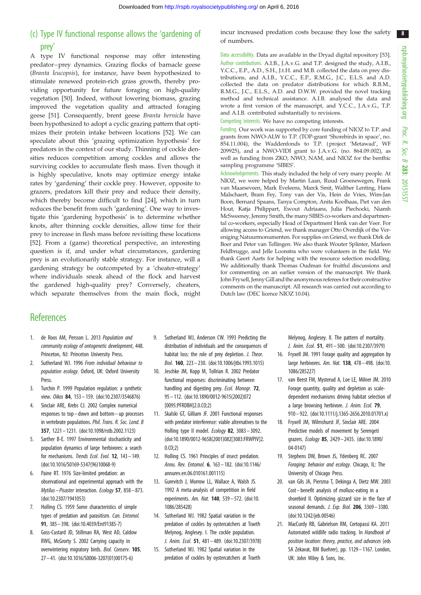8

## <span id="page-7-0"></span>(c) Type IV functional response allows the 'gardening of prey'

A type IV functional response may offer interesting predator –prey dynamics. Grazing flocks of barnacle geese (Branta leucopsis), for instance, have been hypothesized to stimulate renewed protein-rich grass growth, thereby providing opportunity for future foraging on high-quality vegetation [\[50](#page-8-0)]. Indeed, without lowering biomass, grazing improved the vegetation quality and attracted foraging geese [\[51](#page-8-0)]. Consequently, brent geese Branta bernicla have been hypothesized to adopt a cyclic grazing pattern that optimizes their protein intake between locations [[52\]](#page-8-0). We can speculate about this 'grazing optimization hypothesis' for predators in the context of our study. Thinning of cockle densities reduces competition among cockles and allows the surviving cockles to accumulate flesh mass. Even though it is highly speculative, knots may optimize energy intake rates by 'gardening' their cockle prey. However, opposite to grazers, predators kill their prey and reduce their density, which thereby become difficult to find [\[24](#page-8-0)], which in turn reduces the benefit from such 'gardening'. One way to investigate this 'gardening hypothesis' is to determine whether knots, after thinning cockle densities, allow time for their prey to increase in flesh mass before revisiting these locations [\[52](#page-8-0)]. From a (game) theoretical perspective, an interesting question is if, and under what circumstances, gardening prey is an evolutionarily stable strategy. For instance, will a gardening strategy be outcompeted by a 'cheater-strategy' where individuals sneak ahead of the flock and harvest the gardened high-quality prey? Conversely, cheaters, which separate themselves from the main flock, might incur increased predation costs because they lose the safety of numbers.

Data accessibility. Data are available in the Dryad digital repository [\[53](#page-8-0)]. Author contributions. A.I.B., J.A.v.G. and T.P. designed the study, A.I.B., Y.C.C., E.P., A.D., S.H., J.t.H. and M.B. collected the data on prey distributions, and A.I.B., Y.C.C., E.P., R.M.G., J.C., E.L.S. and A.D. collected the data on predator distributions for which R.B.M., R.M.G., J.C., E.L.S., A.D. and D.W.W. provided the novel tracking method and technical assistance. A.I.B. analysed the data and wrote a first version of the manuscript, and Y.C.C., J.A.v.G., T.P. and A.I.B. contributed substantially to revisions.

Competing interests. We have no competing interests.

Funding. Our work was supported by core funding of NIOZ to T.P. and grants from NWO-ALW to T.P. (TOP-grant 'Shorebirds in space', no. 854.11.004), the Waddenfonds to T.P. (project 'Metawad', WF 209925), and a NWO-VIDI grant to J.A.v.G. (no. 864.09.002), as well as funding from ZKO, NWO, NAM, and NIOZ for the benthic sampling programme 'SIBES'.

Acknowledgements. This study included the help of very many people. At NIOZ, we were helped by Martin Laan, Ruud Groenewegen, Frank van Maarseveen, Mark Eveleens, Marck Smit, Walther Lenting, Hans Malschaert, Bram Fey, Tony van der Vis, Hein de Vries, Wim-Jan Boon, Bernard Spaans, Tanya Compton, Anita Koolhaas, Piet van den Hout, Katja Philippart, Ewout Adriaans, Julia Piechocki, Niamh McSweeney, Jeremy Smith, the many SIBES co-workers and departmental co-workers, especially Head of Department Henk van der Veer. For allowing access to Griend, we thank manager Otto Overdijk of the Vereniging Natuurmonumenten. For supplies on Griend, we thank Dirk de Boer and Peter van Tellingen. We also thank Wouter Splinter, Marleen Feldbrugge, and Jelle Loonstra who were volunteers in the field. We thank Geert Aarts for helping with the resource selection modelling. We additionally thank Thomas Oudman for fruitful discussions and for commenting on an earlier version of the manuscript. We thank John Fryxell, Jenny Gill and the anonymous referees for their constructive comments on the manuscript. All research was carried out according to Dutch law (DEC licence NIOZ 10.04).

## **References**

- 1. de Roos AM, Persson L. 2013 Population and community ecology of ontogenetic development, 448. Princeton, NJ: Princeton University Press.
- 2. Sutherland WJ. 1996 From individual behaviour to population ecology. Oxford, UK: Oxford University **Press**
- 3. Turchin P. 1999 Population regulation: a synthetic view. Oikos 84, 153 – 159. [\(doi:10.2307/3546876](http://dx.doi.org/10.2307/3546876))
- 4. Sinclair ARE, Krebs CJ. 2002 Complex numerical responses to top –down and bottom–up processes in vertebrate populations. Phil. Trans. R. Soc. Lond. B 357, 1221– 1231. [\(doi:10.1098/rstb.2002.1123](http://dx.doi.org/10.1098/rstb.2002.1123))
- 5. Sæther B-E. 1997 Environmental stochasticity and population dynamics of large herbivores: a search for mechanisms. Trends Ecol. Evol. 12, 143 – 149. [\(doi:10.1016/S0169-5347\(96\)10068-9](http://dx.doi.org/10.1016/S0169-5347(96)10068-9))
- 6. Paine RT. 1976 Size-limited predation: an observational and experimental approach with the Mytilus– Pisaster interaction. Ecology 57, 858– 873. [\(doi:10.2307/1941053\)](http://dx.doi.org/10.2307/1941053)
- 7. Holling CS. 1959 Some characteristics of simple types of predation and parasitism. Can. Entomol. 91, 385– 398. ([doi:10.4039/Ent91385-7\)](http://dx.doi.org/10.4039/Ent91385-7)
- 8. Goss-Custard JD, Stillman RA, West AD, Caldow RWG, McGrorty S. 2002 Carrying capacity in overwintering migratory birds. Biol. Conserv. 105, 27 – 41. ([doi:10.1016/S0006-3207\(01\)00175-6\)](http://dx.doi.org/10.1016/S0006-3207(01)00175-6)
- 9. Sutherland WJ, Anderson CW. 1993 Predicting the distribution of individuals and the consequences of habitat loss: the role of prey depletion. *J. Theor.* Biol. 160, 223 – 230. [\(doi:10.1006/jtbi.1993.1015](http://dx.doi.org/10.1006/jtbi.1993.1015))
- 10. Jeschke JM, Kopp M, Tollrian R. 2002 Predator functional responses: discriminating between handling and digesting prey. Ecol. Monogr. 72, 95 – 112. ([doi:10.1890/0012-9615\(2002\)072](http://dx.doi.org/10.1890/0012-9615(2002)072[0095:PFRDBH]2.0.CO;2) [\[0095:PFRDBH\]2.0.CO;2\)](http://dx.doi.org/10.1890/0012-9615(2002)072[0095:PFRDBH]2.0.CO;2)
- 11. Skalski GT, Gilliam JF. 2001 Functional responses with predator interference: viable alternatives to the Holling type II model. Ecology 82, 3083– 3092. [\(doi:10.1890/0012-9658\(2001\)082\[3083:FRWPIV\]2.](http://dx.doi.org/10.1890/0012-9658(2001)082[3083:FRWPIV]2.0.CO;2) [0.CO;2](http://dx.doi.org/10.1890/0012-9658(2001)082[3083:FRWPIV]2.0.CO;2))
- 12. Holling CS. 1961 Principles of insect predation. Annu. Rev. Entomol. 6, 163– 182. [\(doi:10.1146/](http://dx.doi.org/10.1146/annurev.en.06.010161.001115) [annurev.en.06.010161.001115\)](http://dx.doi.org/10.1146/annurev.en.06.010161.001115)
- 13. Gurevitch J, Morrow LL, Wallace A, Walsh JS. 1992 A meta-analysis of competition in field experiments. Am. Nat. 140, 539-572. [\(doi:10.](http://dx.doi.org/10.1086/285428) [1086/285428](http://dx.doi.org/10.1086/285428))
- 14. Sutherland WJ. 1982 Spatial variation in the predation of cockles by oystercatchers at Traeth Melynog, Anglesey. I. The cockle population. J. Anim. Ecol. 51, 481– 489. [\(doi:10.2307/3978](http://dx.doi.org/10.2307/3978))
- 15. Sutherland WJ. 1982 Spatial variation in the predation of cockles by oystercatchers at Traeth

Melynog, Anglesey. II. The pattern of mortality. J. Anim. Ecol. 51, 491– 500. [\(doi:10.2307/3979](http://dx.doi.org/10.2307/3979))

- 16. Fryxell JM. 1991 Forage quality and aggregation by large herbivores. Am. Nat. 138, 478– 498. [\(doi:10.](http://dx.doi.org/10.1086/285227) [1086/285227\)](http://dx.doi.org/10.1086/285227)
- 17. van Beest FM, Mysterud A, Loe LE, Milner JM. 2010 Forage quantity, quality and depletion as scaledependent mechanisms driving habitat selection of a large browsing herbivore. J. Anim. Ecol. 79, 910– 922. [\(doi:10.1111/j.1365-2656.2010.01701.x\)](http://dx.doi.org/10.1111/j.1365-2656.2010.01701.x)
- 18. Fryxell JM, Wilmshurst JF, Sinclair ARE. 2004 Predictive models of movement by Serengeti grazers. Ecology 85, 2429 – 2435. [\(doi:10.1890/](http://dx.doi.org/10.1890/04-0147) [04-0147](http://dx.doi.org/10.1890/04-0147))
- 19. Stephens DW, Brown JS, Ydenberg RC. 2007 Foraging: behavior and ecology. Chicago, IL: The University of Chicago Press.
- 20. van Gils JA, Piersma T, Dekinga A, Dietz MW. 2003 Cost– benefit analysis of mollusc-eating in a shorebird II. Optimizing gizzard size in the face of seasonal demands. *J. Exp. Biol.* **206**, 3369-3380. ([doi:10.1242/jeb.00546\)](http://dx.doi.org/10.1242/jeb.00546)
- 21. MacCurdy RB, Gabrielson RM, Cortopassi KA. 2011 Automated wildlife radio tracking. In Handbook of position location: theory, practice, and advances (eds SA Zekavat, RM Buehrer), pp. 1129– 1167. London, UK: John Wiley & Sons, Inc.